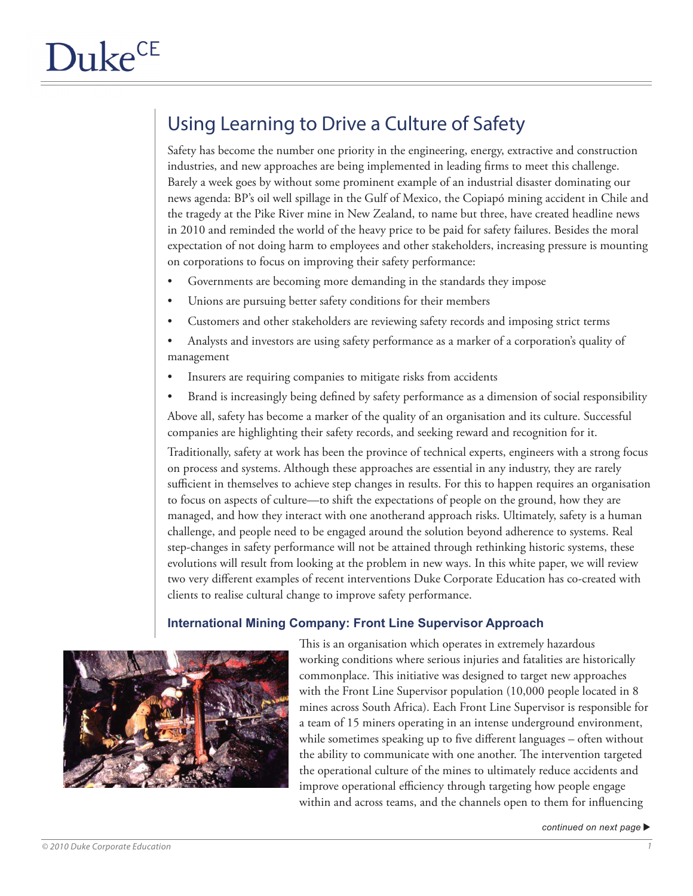# Using Learning to Drive a Culture of Safety

Safety has become the number one priority in the engineering, energy, extractive and construction industries, and new approaches are being implemented in leading firms to meet this challenge. Barely a week goes by without some prominent example of an industrial disaster dominating our news agenda: BP's oil well spillage in the Gulf of Mexico, the Copiapó mining accident in Chile and the tragedy at the Pike River mine in New Zealand, to name but three, have created headline news in 2010 and reminded the world of the heavy price to be paid for safety failures. Besides the moral expectation of not doing harm to employees and other stakeholders, increasing pressure is mounting on corporations to focus on improving their safety performance:

- Governments are becoming more demanding in the standards they impose
- Unions are pursuing better safety conditions for their members
- Customers and other stakeholders are reviewing safety records and imposing strict terms
- Analysts and investors are using safety performance as a marker of a corporation's quality of management
- Insurers are requiring companies to mitigate risks from accidents
- Brand is increasingly being defined by safety performance as a dimension of social responsibility

Above all, safety has become a marker of the quality of an organisation and its culture. Successful companies are highlighting their safety records, and seeking reward and recognition for it.

Traditionally, safety at work has been the province of technical experts, engineers with a strong focus on process and systems. Although these approaches are essential in any industry, they are rarely sufficient in themselves to achieve step changes in results. For this to happen requires an organisation to focus on aspects of culture—to shift the expectations of people on the ground, how they are managed, and how they interact with one anotherand approach risks. Ultimately, safety is a human challenge, and people need to be engaged around the solution beyond adherence to systems. Real step-changes in safety performance will not be attained through rethinking historic systems, these evolutions will result from looking at the problem in new ways. In this white paper, we will review two very different examples of recent interventions Duke Corporate Education has co-created with clients to realise cultural change to improve safety performance.

### **International Mining Company: Front Line Supervisor Approach**



This is an organisation which operates in extremely hazardous working conditions where serious injuries and fatalities are historically commonplace. This initiative was designed to target new approaches with the Front Line Supervisor population (10,000 people located in 8 mines across South Africa). Each Front Line Supervisor is responsible for a team of 15 miners operating in an intense underground environment, while sometimes speaking up to five different languages – often without the ability to communicate with one another. The intervention targeted the operational culture of the mines to ultimately reduce accidents and improve operational efficiency through targeting how people engage within and across teams, and the channels open to them for influencing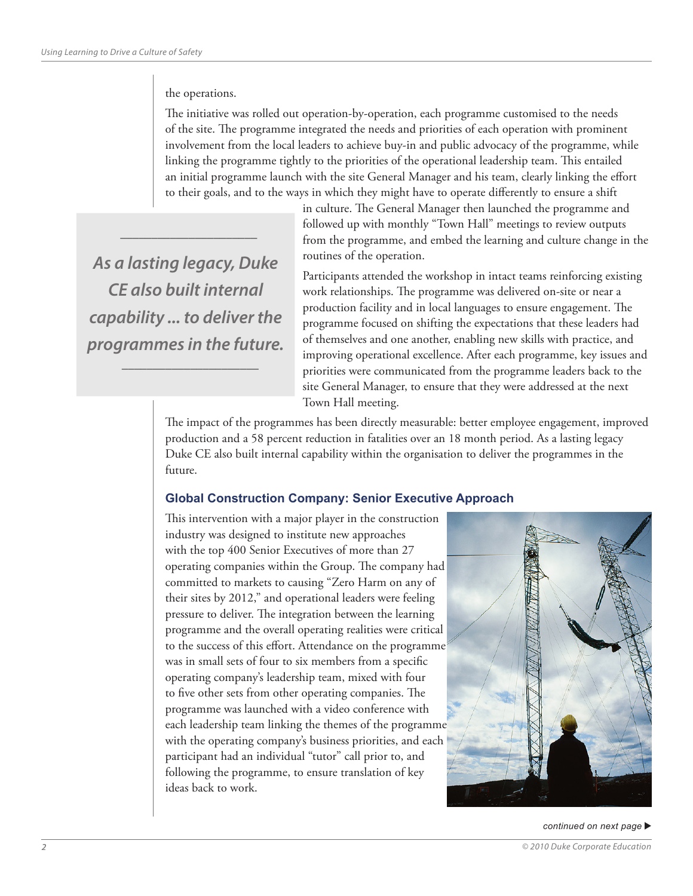#### the operations.

 $\overline{\phantom{a}}$  , and the set of the set of the set of the set of the set of the set of the set of the set of the set of the set of the set of the set of the set of the set of the set of the set of the set of the set of the s

The initiative was rolled out operation-by-operation, each programme customised to the needs of the site. The programme integrated the needs and priorities of each operation with prominent involvement from the local leaders to achieve buy-in and public advocacy of the programme, while linking the programme tightly to the priorities of the operational leadership team. This entailed an initial programme launch with the site General Manager and his team, clearly linking the effort to their goals, and to the ways in which they might have to operate differently to ensure a shift

> in culture. The General Manager then launched the programme and followed up with monthly "Town Hall" meetings to review outputs from the programme, and embed the learning and culture change in the routines of the operation.

> Participants attended the workshop in intact teams reinforcing existing work relationships. The programme was delivered on-site or near a production facility and in local languages to ensure engagement. The programme focused on shifting the expectations that these leaders had of themselves and one another, enabling new skills with practice, and improving operational excellence. After each programme, key issues and priorities were communicated from the programme leaders back to the site General Manager, to ensure that they were addressed at the next Town Hall meeting.

The impact of the programmes has been directly measurable: better employee engagement, improved production and a 58 percent reduction in fatalities over an 18 month period. As a lasting legacy Duke CE also built internal capability within the organisation to deliver the programmes in the future.

### **Global Construction Company: Senior Executive Approach**

This intervention with a major player in the construction industry was designed to institute new approaches with the top 400 Senior Executives of more than 27 operating companies within the Group. The company had committed to markets to causing "Zero Harm on any of their sites by 2012," and operational leaders were feeling pressure to deliver. The integration between the learning programme and the overall operating realities were critical to the success of this effort. Attendance on the programme was in small sets of four to six members from a specific operating company's leadership team, mixed with four to five other sets from other operating companies. The programme was launched with a video conference with each leadership team linking the themes of the programme with the operating company's business priorities, and each participant had an individual "tutor" call prior to, and following the programme, to ensure translation of key ideas back to work.



#### $control$  on next page

*As a lasting legacy, Duke CE also built internal capability ... to deliver the programmes in the future.*  $\overline{\phantom{a}}$  , and the set of the set of the set of the set of the set of the set of the set of the set of the set of the set of the set of the set of the set of the set of the set of the set of the set of the set of the s